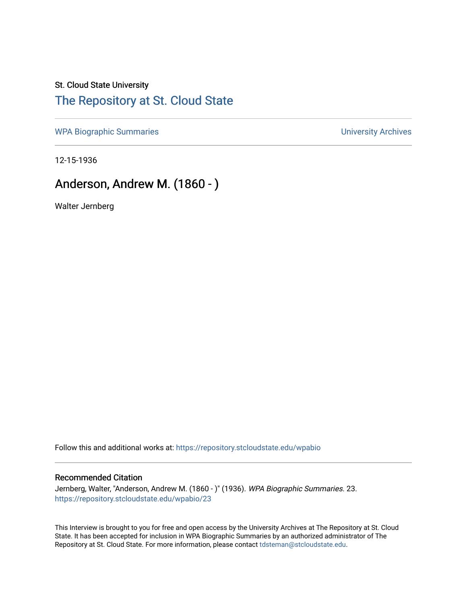# St. Cloud State University

### [The Repository at St. Cloud State](https://repository.stcloudstate.edu/)

[WPA Biographic Summaries](https://repository.stcloudstate.edu/wpabio) **WPA Biographic Summaries University Archives** 

12-15-1936

## Anderson, Andrew M. (1860 - )

Walter Jernberg

Follow this and additional works at: [https://repository.stcloudstate.edu/wpabio](https://repository.stcloudstate.edu/wpabio?utm_source=repository.stcloudstate.edu%2Fwpabio%2F23&utm_medium=PDF&utm_campaign=PDFCoverPages) 

#### Recommended Citation

Jernberg, Walter, "Anderson, Andrew M. (1860 - )" (1936). WPA Biographic Summaries. 23. [https://repository.stcloudstate.edu/wpabio/23](https://repository.stcloudstate.edu/wpabio/23?utm_source=repository.stcloudstate.edu%2Fwpabio%2F23&utm_medium=PDF&utm_campaign=PDFCoverPages)

This Interview is brought to you for free and open access by the University Archives at The Repository at St. Cloud State. It has been accepted for inclusion in WPA Biographic Summaries by an authorized administrator of The Repository at St. Cloud State. For more information, please contact [tdsteman@stcloudstate.edu.](mailto:tdsteman@stcloudstate.edu)